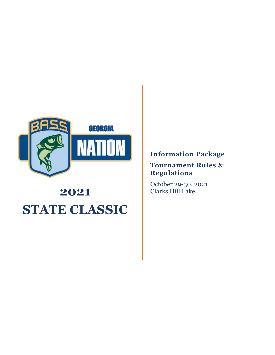

# **2021 STATE CLASSIC**

**Information Package**

# **Tournament Rules & Regulations**

October 29-30, 2021 Clarks Hill Lake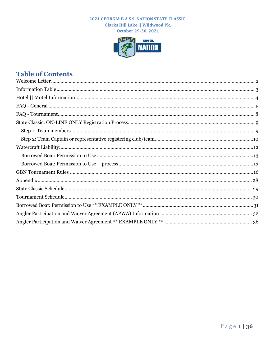October 29-30, 2021



# **Table of Contents**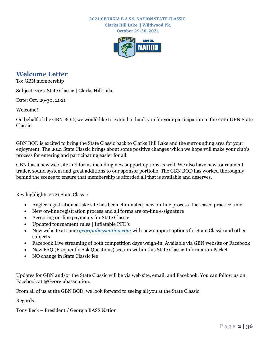**October 29-30, 2021**



# <span id="page-2-0"></span>**Welcome Letter**

To: GBN membership

Subject: 2021 State Classic | Clarks Hill Lake

Date: Oct. 29-30, 2021

Welcome!!

On behalf of the GBN BOD, we would like to extend a thank you for your participation in the 2021 GBN State Classic.

GBN BOD is excited to bring the State Classic back to Clarks Hill Lake and the surrounding area for your enjoyment. The 2021 State Classic brings about some positive changes which we hope will make your club's process for entering and participating easier for all.

GBN has a new web site and forms including new support options as well. We also have new tournament trailer, sound system and great additions to our sponsor portfolio. The GBN BOD has worked thoroughly behind the scenes to ensure that membership is afforded all that is available and deserves.

Key highlights 2021 State Classic

- Angler registration at lake site has been eliminated, new on-line process. Increased practice time.
- New on-line registration process and all forms are on-line e-signature
- Accepting on-line payments for State Classic
- Updated tournament rules | Inflatable PFD's
- New website at same *[georgiabassnation.com](https://www.georgiabassnation.com/)* with new support options for State Classic and other subjects
- Facebook Live streaming of both competition days weigh-in. Available via GBN website or Facebook
- New FAQ (Frequently Ask Questions) section within this State Classic Information Packet
- NO change in State Classic fee

Updates for GBN and/or the State Classic will be via web site, email, and Facebook. You can follow us on Facebook at @Georgiabassnation.

From all of us at the GBN BOD, we look forward to seeing all you at the State Classic!

Regards,

Tony Beck – President / Georgia BASS Nation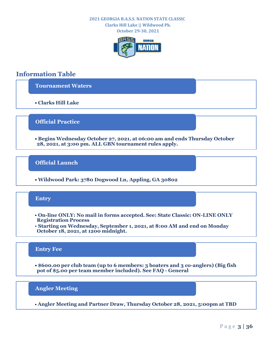**Clarks Hill Lake || Wildwood Pk. October 29-30, 2021**



# <span id="page-3-0"></span>**Information Table**

**[Tournament Waters](http://georgiabassnation.com/ac-classic)**

• **Clarks Hill Lake**

**Official Practice**

• **Begins Wednesday October 27, 2021, at 06:00 am and ends Thursday October 28, 2021, at 3:00 pm. ALL GBN tournament rules apply.**

**Official Launch**

• **Wildwood Park: 3780 Dogwood Ln, Appling, GA 30802**

## **Entry**

- **[On-line ONLY: No mail in forms accepted. See: State Classic: ON-LINE ONLY](#page-9-0)  Registration Process**
- **Starting on Wednesday, September 1, 2021, at 8:00 AM and end on Monday October 18, 2021, at 1200 midnight.**

### **Entry Fee**

• **\$600.00 per club team (up to 6 members: 3 boaters and 3 co-anglers) (Big fish pot of \$5.00 per team member included). See FAQ - General**

**Angler Meeting**

• **Angler Meeting and Partner Draw, Thursday October 28, 2021, 5:00pm at TBD**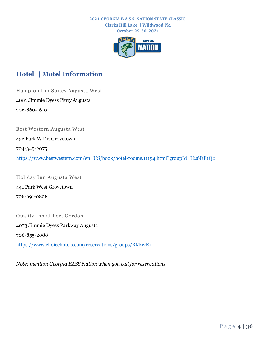**October 29-30, 2021**



# <span id="page-4-0"></span>**Hotel || Motel Information**

Hampton Inn Suites Augusta West 4081 Jimmie Dyess Pkwy Augusta 706-860-1610

Best Western Augusta West

452 Park W Dr. Grovetown

704-345-2075

[https://www.bestwestern.com/en\\_US/book/hotel-rooms.11194.html?groupId=H26DE1Q0](https://www.bestwestern.com/en_US/book/hotel-rooms.11194.html?groupId=H26DE1Q0)

Holiday Inn Augusta West 441 Park West Grovetown 706-691-0828

### Quality Inn at Fort Gordon

4073 Jimmie Dyess Parkway Augusta 706-855-2088 <https://www.choicehotels.com/reservations/groups/RM92E1>

*Note: mention Georgia BASS Nation when you call for reservations*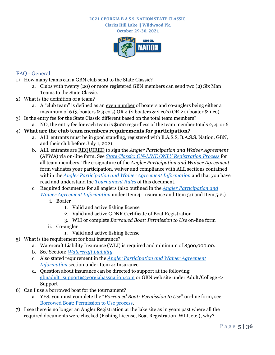**Clarks Hill Lake || Wildwood Pk. October 29-30, 2021**



# <span id="page-5-0"></span>FAQ - General

- 1) How many teams can a GBN club send to the State Classic?
	- a. Clubs with twenty (20) or more registered GBN members can send two (2) Six Man Teams to the State Classic.
- 2) What is the definition of a team?
	- a. A "club team" is defined as an even number of boaters and co-anglers being either a maximum of 6 (3-boaters & 3 co's) OR 4 (2 boaters & 2 co's) OR 2 (1 boater & 1 co)
- 3) Is the entry fee for the State Classic different based on the total team members? a. NO, the entry fee for each team is \$600 regardless of the team member totals 2, 4, or 6.

## 4) **What are the club team members requirements for participation**?

- a. ALL entrants must be in good standing, registered with B.A.S.S, B.A.S.S. Nation, GBN, and their club before July 1, 2021.
- b. ALL entrants are REQUIRED to sign the *Angler Participation and Waiver Agreement* (APWA) via on-line form. See *[State Classic: ON-LINE ONLY Registration Process](#page-9-0)* for all team members. The e-signature of the *Angler Participation and Waiver Agreement* form validates your participation, waiver and compliance with ALL sections contained within the *[Angler Participation and Waiver Agreement Information](#page-32-0)* and that you have read and understand the *[Tournament Rules](#page-16-0)* of this document.
- c. Required documents for all anglers (also outlined in the *[Angler Participation and](#page-32-0)  [Waiver Agreement Information](#page-32-0)* under Item 4: Insurance and Item 5:1 and Item 5:2.)
	- i. Boater
		- 1. Valid and active fishing license
		- 2. Valid and active GDNR Certificate of Boat Registration
		- 3. WLI or complete *Borrowed Boat: Permission to Use* on-line form
	- ii. Co-angler
		- 1. Valid and active fishing license
- 5) What is the requirement for boat insurance?
	- a. Watercraft Liability Insurance (WLI) is required and minimum of \$300,000.00.
	- b. See Section: *[Watercraft Liability](#page-12-0)*.
	- c. Also stated requirement in the *[Angler Participation and Waiver Agreement](#page-32-0)  [Information](#page-32-0)* section under Item 4: Insurance
	- d. Question about insurance can be directed to support at the following: [gbnadult\\_support@georgiabassnation.com](mailto:gbnadult_support@georgiabassnation.com) or GBN web site under Adult/College -> Support
- 6) Can I use a borrowed boat for the tournament?
	- a. YES, you must complete the "*Borrowed Boat: Permission to Use*" on-line form, see [Borrowed Boat: Permission to Use process.](#page-13-1)
- 7) I see there is no longer an Angler Registration at the lake site as in years past where all the required documents were checked (Fishing License, Boat Registration, WLI, etc.), why?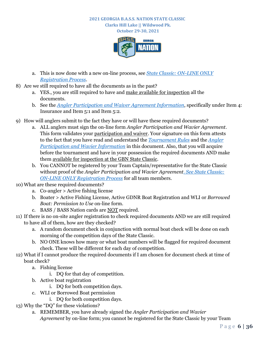**October 29-30, 2021**



- a. This is now done with a new on-line process, see *[State Classic: ON-LINE ONLY](#page-9-0)  [Registration Process](#page-9-0)*.
- 8) Are we still required to have all the documents as in the past?
	- a. YES., you are still required to have and make available for inspection all the documents.
	- b. See the *[Angler Participation and Waiver Agreement Information](#page-32-0)*, specifically under Item 4: Insurance and Item 5:1 and Item 5:2.
- 9) How will anglers submit to the fact they have or will have these required documents?
	- a. ALL anglers must sign the on-line form *Angler Participation and Wavier Agreement*. This form validates your participation and waiver. Your signature on this form attests to the fact that you have read and understand the *[Tournament Rules](#page-16-0)* and the *[Angler](#page-32-0)  [Participation and Wavier Information](#page-32-0)* in this document. Also, that you will acquire before the tournament and have in your possession the required documents AND make them available for inspection at the GBN State Classic.
	- b. You CANNOT be registered by your Team Captain/representative for the State Classic without proof of the *Angler Participation and Wavier Agreement*. *[See State Classic:](#page-9-0)  [ON-LINE ONLY Registration Process](#page-9-0)* for all team members.
- 10) What are these required documents?
	- a. Co-angler > Active fishing license
	- b. Boater > Active Fishing License, Active GDNR Boat Registration and WLI or *Borrowed Boat: Permission to Use* on-line form.
	- c. BASS / BASS Nation cards are NOT required.
- 11) If there is no on-site angler registration to check required documents AND we are still required to have all of them, how are they checked?
	- a. A random document check in conjunction with normal boat check will be done on each morning of the competition days of the State Classic.
	- b. NO ONE knows how many or what boat numbers will be flagged for required document check. These will be different for each day of competition.
- 12) What if I cannot produce the required documents if I am chosen for document check at time of boat check?
	- a. Fishing license
		- i. DQ for that day of competition.
	- b. Active boat registration
		- i. DQ for both competition days.
	- c. WLI or Borrowed Boat permission
		- i. DQ for both competition days.
- 13) Why the "DQ" for these violations?
	- a. REMEMBER, you have already signed the *Angler Participation and Wavier Agreement* by on-line form; you cannot be registered for the State Classic by your Team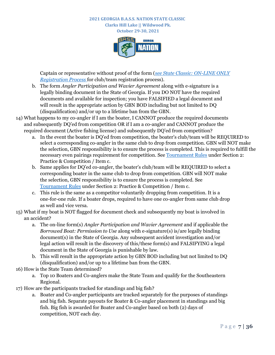**October 29-30, 2021**



Captain or representative without proof of the form (*[see State Classic: ON-LINE ONLY](#page-9-0)  [Registration Process](#page-9-0)* for club/team registration process).

- b. The form *Angler Participation and Wavier Agreement* along with e-signature is a legally binding document in the State of Georgia. If you DO NOT have the required documents and available for inspection; you have FALSIFIED a legal document and will result in the appropriate action by GBN BOD including but not limited to DQ (disqualification) and/or up to a lifetime ban from the GBN.
- 14) What happens to my co-angler if I am the boater, I CANNOT produce the required documents and subsequently DQ'ed from competition OR if I am a co-angler and CANNOT produce the required document (Active fishing license) and subsequently DQ'ed from competition?
	- a. In the event the boater is DQ'ed from competition, the boater's club/team will be REQUIRED to select a corresponding co-angler in the same club to drop from competition. GBN will NOT make the selection, GBN responsibility is to ensure the process is completed. This is required to fulfill the necessary even pairings requirement for competition. See [Tournament Rules](#page-16-0) under Section 2: Practice & Competition / Item c.
	- b. Same applies for DQ'ed co-angler, the boater's club/team will be REQUIRED to select a corresponding boater in the same club to drop from competition. GBN will NOT make the selection, GBN responsibility is to ensure the process is completed. See [Tournament](#page-16-0) Rules under Section 2: Practice & Competition / Item c.
	- c. This rule is the same as a competitor voluntarily dropping from competition. It is a one-for-one rule. If a boater drops, required to have one co-angler from same club drop as well and vice versa.
- 15) What if my boat is NOT flagged for document check and subsequently my boat is involved in an accident?
	- a. The on-line form(s) *Angler Participation and Wavier Agreement* and if applicable the *Borrowed Boat: Permission to Use* along with e-signature(s) is/are legally binding document(s) in the State of Georgia. Any subsequent accident investigation and/or legal action will result in the discovery of this/these form(s) and FALSIFYING a legal document in the State of Georgia is punishable by law.
	- b. This will result in the appropriate action by GBN BOD including but not limited to DQ (disqualification) and/or up to a lifetime ban from the GBN.
- 16) How is the State Team determined?
	- a. Top 10 Boaters and Co-anglers make the State Team and qualify for the Southeastern Regional.
- 17) How are the participants tracked for standings and big fish?
	- a. Boater and Co-angler participants are tracked separately for the purposes of standings and big fish. Separate payouts for Boater & Co-angler placement in standings and big fish. Big fish is awarded for Boater and Co-angler based on both (2) days of competition, NOT each day.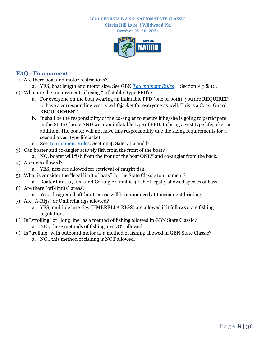**Clarks Hill Lake || Wildwood Pk. October 29-30, 2021**



## <span id="page-8-0"></span>**FAQ - Tournament**

- 1) Are there boat and motor restrictions?
- a. YES, boat length and motor size. See GBN *[Tournament Rules](#page-16-0)* || Section # 9 & 10.
- 2) What are the requirements if using "inflatable" type PFD's?
	- a. For everyone on the boat wearing an inflatable PFD (one or both); you are REQUIRED to have a corresponding vest type lifejacket for everyone as well. This is a Coast Guard REQUIREMENT.
	- b. It shall be the responsibility of the co-angler to ensure if he/she is going to participate in the State Classic AND wear an inflatable type of PFD, to bring a vest type lifejacket in addition. The boater will not have this responsibility due the sizing requirements for a second a vest type lifejacket.
	- c. Se[e Tournament](#page-16-0) Rules: Section 4: Safety | a and b
- 3) Can boater and co-angler actively fish from the front of the boat?
	- a. NO, boater will fish from the front of the boat ONLY and co-angler from the back.
- 4) Are nets allowed?
	- a. YES, nets are allowed for retrieval of caught fish.
- 5) What is consider the "legal limit of bass" for the State Classic tournament?
	- a. Boater limit is 5 fish and Co-angler limit is 3 fish of legally allowed species of bass.
- 6) Are there "off-limits" areas?
	- a. Yes., designated off-limits areas will be announced at tournament briefing.
- 7) Are "A-Rigs" or Umbrella rigs allowed?
	- a. YES, multiple lure rigs (UMBRELLA RIGS) are allowed if it follows state fishing regulations.
- 8) Is "strolling" or "long line" as a method of fishing allowed in GBN State Classic? a. NO., these methods of fishing are NOT allowed.
- 9) Is "trolling" with outboard motor as a method of fishing allowed in GBN State Classic?
	- a. NO., this method of fishing is NOT allowed.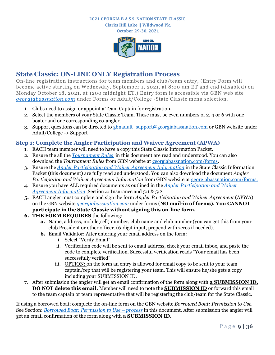**Clarks Hill Lake || Wildwood Pk.**

**October 29-30, 2021**



# <span id="page-9-0"></span>**State Classic: ON-LINE ONLY Registration Process**

On-line registration instructions for team members and club/team entry, (Entry Form will become active starting on Wednesday, September 1, 2021, at 8:00 am ET and end (disabled) on Monday October 18, 2021, at 1200 midnight ET.) Entry form is accessible via GBN web site *[georgiabassnation.com](https://www.georgiabassnation.com/)* under Forms or Adult/College -State Classic menu selection.

- 1. Clubs need to assign or appoint a Team Captain for registration.
- 2. Select the members of your State Classic Team. These must be even numbers of 2, 4 or 6 with one boater and one corresponding co-angler.
- 3. Support questions can be directed to gbnadult  $\support@georiginalbassination.com$  or GBN website under Adult/College -> Support

# <span id="page-9-1"></span>**Step 1: Complete the Angler Participation and Waiver Agreement (APWA)**

- 1. EACH team member will need to have a copy this State Classic Information Packet.
- 2. Ensure the all the *[Tournament Rules](#page-16-0)* in this document are read and understood. You can also download the *Tournament Rules* from GBN website at [georgiabassnation.com/forms.](https://www.georgiabassnation.com/)
- 3. Ensure the *[Angler Participation and Waiver Agreement Information](#page-32-0)* in the State Classic Information Packet (this document) are fully read and understood. You can also download the document *Angler Participation and Waiver Agreement Information* from GBN website at [georgiabassnation.com/forms.](https://www.georgiabassnation.com/)
- 4. Ensure you have ALL required documents as outlined in the *[Angler Participation and Waiver](#page-32-0)  [Agreement Information](#page-32-0)* ,Section 4: Insurance and 5:1 & 5:2
- **5.** EACH angler must complete and sign the form *Angler Participation and Waiver Agreement* (APWA) on the GBN website *[georgiabassnation.com](https://www.georgiabassnation.com/)* under forms (**NO mail-in of forms). You CANNOT participate in the State Classic without signing this on-line form.**
- **6. THE FORM REQUIRES** the following:
	- **a.** Name, address, mobile(cell) number, club name and club number (you can get this from your club President or other officer. (6-digit input, prepend with zeros if needed).
	- **b.** Email Validator: After entering your email address on the form:
		- i. Select "Verify Email"
		- ii. Verification code will be sent to email address, check your email inbox, and paste the code to complete verification. Successful verification reads "Your email has been successfully verified"
		- iii. OPTION: on the form an entry is allowed for email copy to be sent to your team captain/rep that will be registering your team. This will ensure he/she gets a copy including your SUBMISSION ID.
- 7. After submission the angler will get an email confirmation of the form along with **a SUBMISSION ID. DO NOT delete this email.** Member will need to note the **SUBMISSION ID** or forward this email to the team captain or team representative that will be registering the club/team for the State Classic.

If using a borrowed boat; complete the on-line form on the GBN website *Borrowed Boat: Permission to Use.*  See Section: *[Borrowed Boat: Permission to Use](#page-13-1) – process* in this document. After submission the angler will get an email confirmation of the form along with **a SUBMISSION ID**.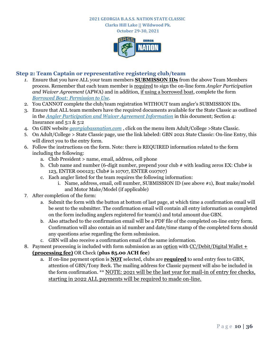**Clarks Hill Lake || Wildwood Pk. October 29-30, 2021**



# <span id="page-10-0"></span>**Step 2: Team Captain or representative registering club/team**

- *1.* Ensure that you have ALL your team members **SUBMISSON IDs** from the above Team Members process. Remember that each team member is required to sign the on-line form *Angler Participation and Waiver Agreement* (APWA) and in addition, if using a borrowed boat, complete the form *[Borrowed Boat: Permission to Use.](#page-13-1)*
- 2. You CANNOT complete the club/team registration WITHOUT team angler's SUBMISSION IDs.
- 3. Ensure that ALL team members have the required documents available for the State Classic as outlined in the *[Angler Participation and Waiver Agreement Information](#page-32-0)* in this document; Section 4: Insurance and 5:1 & 5:2
- 4. On GBN website *[georgiabassnation.com](https://www.georgiabassnation.com/)* , click on the menu item Adult/College >State Classic.
- 5. On Adult/College > State Classic page, use the link labeled: GBN 2021 State Classic: On-line Entry, this will direct you to the entry form.
- 6. Follow the instructions on the form. Note: there is REQUIRED information related to the form including the following:
	- a. Club President > name, email, address, cell phone
	- b. Club name and number (6-digit number, prepend your club  $\#$  with leading zeros EX: Club $\#$  is 123, ENTER 000123; Club# is 10707, ENTER 010707)
	- c. Each angler listed for the team requires the following information:
		- i. Name, address, email, cell number, SUBMISSION ID (see above #1), Boat make/model and Motor Make/Model (if applicable)
- 7. After completion of the form:
	- a. Submit the form with the button at bottom of last page, at which time a confirmation email will be sent to the submitter. The confirmation email will contain all entry information as completed on the form including anglers registered for team(s) and total amount due GBN.
	- b. Also attached to the confirmation email will be a PDF file of the completed on-line entry form. Confirmation will also contain an id number and date/time stamp of the completed form should any questions arise regarding the form submission.
	- c. GBN will also receive a confirmation email of the same information.
- 8. Payment processing is included with form submission as an option with CC/Debit/Digital Wallet **+ (processing fee)** OR Check (**plus \$5.00 ACH fee**)
	- a. If on-line payment option is **NOT** selected, clubs are **required** to send entry fees to GBN, attention of GBN/Tony Beck. The mailing address for Classic payment will also be included in the form confirmation. \*\* NOTE: 2021 will be the last year for mail-in of entry fee checks, starting in 2022 ALL payments will be required to made on-line.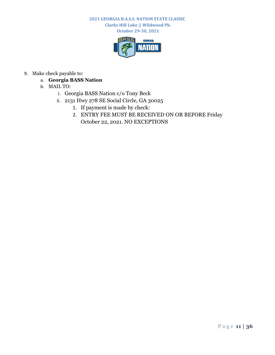**Clarks Hill Lake || Wildwood Pk. October 29-30, 2021**



- 9. Make check payable to:
	- a. **Georgia BASS Nation**
	- b. MAIL TO:
		- i. Georgia BASS Nation c/o Tony Beck
		- ii. 2131 Hwy 278 SE Social Circle, GA 30025
			- 1. If payment is made by check:
			- 2. ENTRY FEE MUST BE RECEIVED ON OR BEFORE Friday October 22, 2021. NO EXCEPTIONS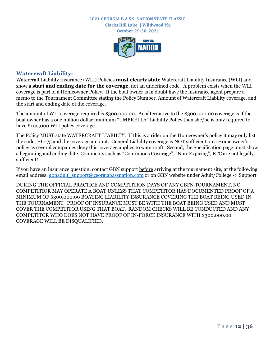**October 29-30, 2021**



#### <span id="page-12-0"></span>**Watercraft Liability:**

Watercraft Liability Insurance (WLI) Policies **must clearly state** Watercraft Liability Insurance (WLI) and show a **start and ending date for the coverage**, not an undefined code. A problem exists when the WLI coverage is part of a Homeowner Policy. If the boat owner is in doubt have the insurance agent prepare a memo to the Tournament Committee stating the Policy Number, Amount of Watercraft Liability coverage, and the start and ending date of the coverage.

The amount of WLI coverage required is \$300,000.00. An alternative to the \$300,000.00 coverage is if the boat owner has a one million dollar minimum "UMBRELLA" Liability Policy then she/he is only required to have \$100,000 WLI policy coverage.

The Policy MUST state WATERCRAFT LIABILTY. If this is a rider on the Homeowner's policy it may only list the code, HO-75 and the coverage amount. General Liability coverage is NOT sufficient on a Homeowner's policy as several companies deny this coverage applies to watercraft. Second, the Specification page must show a beginning and ending date. Comments such as "Continuous Coverage", "Non-Expiring", ETC are not legally sufficient!!

If you have an insurance question, contact GBN support before arriving at the tournament site, at the following email address: [gbnadult\\_support@georgiabassnation.com](mailto:gbnadult_support@georgiabassnation.com) or on GBN website under Adult/College -> Support

DURING THE OFFICIAL PRACTICE AND COMPETITION DAYS OF ANY GBFN TOURNAMENT, NO COMPETITIOR MAY OPERATE A BOAT UNLESS THAT COMPETITOR HAS DOCUMENTED PROOF OF A MINIMUM OF \$300,000.00 BOATING LIABILITY INSURANCE COVERING THE BOAT BEING USED IN THE TOURNAMENT. PROOF OF INSURANCE MUST BE WITH THE BOAT BEING USED AND MUST COVER THE COMPETITOR USING THAT BOAT. RANDOM CHECKS WILL BE CONDUCTED AND ANY COMPETITOR WHO DOES NOT HAVE PROOF OF IN-FORCE INSURANCE WITH \$300,000.00 COVERAGE WILL BE DISQUALIFIED.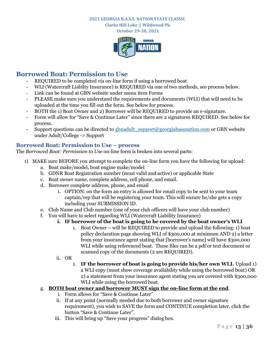**Clarks Hill Lake || Wildwood Pk.**

**October 29-30, 2021**



# <span id="page-13-0"></span>**Borrowed Boat: Permission to Use**

- REQUIRED to be completed via on-line form if using a borrowed boat
- WLI (Watercraft Liabilty Insurance) is REQUIRED via one of two methods, see process below.
- Link can be found at GBN website under menu item Forms
- PLEASE make sure you understand the requirements and documents (WLI) that will need to be uploaded at the time you fill out the form. See below for process.
- BOTH the 1) Boat Owner and 2) Borrower will be REQUIRED to provide an e-signature.
- Form will allow for "Save & Continue Later" since there are 2 signatures REQUIRED. See below for process.
- Support questions can be directed to gbnadult  $support@georiginal$  assnation.com or GBN website under Adult/College -> Support

# <span id="page-13-1"></span>**Borrowed Boat: Permission to Use – process**

The *Borrowed Boat: Permission to Use* on-line form is broken into several parts:

- 1) MAKE sure BEFORE you attempt to complete the on-line form you have the following for upload:
	- a. Boat make/model, boat engine make/model
	- b. GDNR Boat Registration number (must valid and active) or applicable State
	- c. Boat owner name, complete address, cell phone, and email.
	- d. Borrower complete address, phone, and email
		- i. OPTION: on the form an entry is allowed for email copy to be sent to your team captain/rep that will be registering your team. This will ensure he/she gets a copy including your SUBMISSION ID.
	- e. Club Name and Club number (one of your club officers will have your club number)
	- f. You will have to select regarding WLI (Watercraft Liability Insurance)

# **i. IF borrower of the boat is going to be covered by the boat owner's WLI**

- 1. Boat Owner will be REQUIRED to provide and upload the following: 1) boat policy declaration page showing WLI of \$300,000 at minimum AND 2) a letter from your insurance agent stating that [borrower's name] will have \$300,000 WLI while using referenced boat. These files can be a pdf or text document or scanned copy of the documents (2 are REQUIRED).
- ii. OR
	- 1. **IF the borrower of boat is going to provide his/her own WLI.** Upload 1) a WLI copy (must show coverage availability while using the borrowed boat) OR 2) a statement from your insurance agent stating you are covered with \$300,000 WLI while using the borrowed boat.

# g. **BOTH boat owner and borrower MUST sign the on-line form at the end**.

- i. Form allows for "Save & Continue Later"
- ii. If at any point (normally needed due to both borrower and owner signature requirement), you wish to SAVE the form and CONTINUE completion later, click the button "Save & Continue Later".
- iii. This will bring up "Save your progress" dialog box.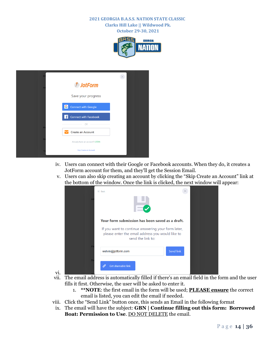**October 29-30, 2021**



| E            |                                |
|--------------|--------------------------------|
| $\mathbf{A}$ | <b><i>D</i></b> JotForm        |
|              | Save your progress             |
|              | IGІ<br>Connect with Google     |
|              | Connect with Facebook<br>Æ     |
| P            | <b>OR</b>                      |
|              | <b>Create an Account</b>       |
| D            | Already have an account? LOGIN |
|              | Skip Create an Account         |

- iv. Users can connect with their Google or Facebook accounts. When they do, it creates a JotForm account for them, and they'll get the Session Email.
- v. Users can also skip creating an account by clicking the "Skip Create an Account" link at the bottom of the window. Once the link is clicked, the next window will appear:

|              | $\odot$ Back                                                                                                                |           |  |
|--------------|-----------------------------------------------------------------------------------------------------------------------------|-----------|--|
| $\mathbf{A}$ |                                                                                                                             |           |  |
|              | Your form submission has been saved as a draft.                                                                             |           |  |
|              | If you want to continue answering your form later,<br>please enter the email address you would like to<br>send the link to: |           |  |
| PI           | welvin@jotform.com                                                                                                          | Send link |  |
| D:           | <b>Get shareable link</b><br>tê,                                                                                            |           |  |

vi.

- vii. The email address is automatically filled if there's an email field in the form and the user fills it first. Otherwise, the user will be asked to enter it.
	- 1. **\*\*NOTE**: the first email in the form will be used; **PLEASE ensure** the correct email is listed, you can edit the email if needed.
- viii. Click the "Send Link" button once, this sends an Email in the following format
- ix. The email will have the subject: **GBN | Continue filling out this form: Borrowed Boat: Permission to Use**. DO NOT DELETE the email.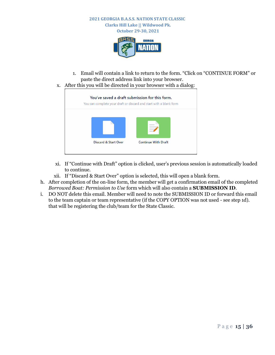



- 1. Email will contain a link to return to the form. "Click on "CONTINUE FORM" or paste the direct address link into your browser.
- x. After this you will be directed in your browser with a dialog:



- xi. If "Continue with Draft" option is clicked, user's previous session is automatically loaded to continue.
- xii. If "Discard & Start Over" option is selected, this will open a blank form.
- h. After completion of the on-line form, the member will get a confirmation email of the completed *Borrowed Boat: Permission to Use* form which will also contain a **SUBMISSION ID**.
- <span id="page-15-0"></span>i. DO NOT delete this email. Member will need to note the SUBMISSION ID or forward this email to the team captain or team representative (if the COPY OPTION was not used - see step 1d). that will be registering the club/team for the State Classic.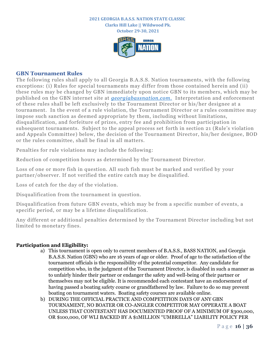



#### <span id="page-16-0"></span>**GBN Tournament Rules**

The following rules shall apply to all Georgia B.A.S.S. Nation tournaments, with the following exceptions: (i) Rules for special tournaments may differ from those contained herein and (ii) these rules may be changed by GBN immediately upon notice GBN to its members, which may be published on the GBN internet site at *[georgiabassnation.com](https://www.georgiabassnation.com/)*[.](http://georgiabassnation.com/) Interpretation and enforcement of these rules shall be left exclusively to the Tournament Director or his/her designee at a tournament. In the event of a rule violation, the Tournament Director or a rules committee may impose such sanction as deemed appropriate by them, including without limitations, disqualification, and forfeiture of prizes, entry fee and prohibition from participation in subsequent tournaments. Subject to the appeal process set forth in section 21 (Rule's violation and Appeals Committee) below, the decision of the Tournament Director, his/her designee, BOD or the rules committee, shall be final in all matters.

Penalties for rule violations may include the following:

Reduction of competition hours as determined by the Tournament Director.

Loss of one or more fish in question. All such fish must be marked and verified by your partner/observer. If not verified the entire catch may be disqualified.

Loss of catch for the day of the violation.

Disqualification from the tournament in question.

Disqualification from future GBN events, which may be from a specific number of events, a specific period, or may be a lifetime disqualification.

Any different or additional penalties determined by the Tournament Director including but not limited to monetary fines.

#### **Participation and Eligibility:**

- a) This tournament is open only to current members of B.A.S.S., BASS NATION, and Georgia B.A.S.S. Nation (GBN) who are 16 years of age or older. Proof of age to the satisfaction of the tournament officials is the responsibility of the potential competitor. Any candidate for competition who, in the judgment of the Tournament Director, is disabled in such a manner as to unfairly hinder their partner or endanger the safety and well-being of their partner or themselves may not be eligible. It is recommended each contestant have an endorsement of having passed a boating safety course or grandfathered by law. Failure to do so may prevent boating on tournament waters. Boating safety courses are available online.
- b) DURING THE OFFICIAL PRACTICE AND COMPETITION DAYS OF ANY GBN TOURNAMENT, NO BOATER OR CO-ANGLER COMPETITOR MAY OPPERATE A BOAT UNLESS THAT CONTESTANT HAS DOCUMENTED PROOF OF A MINIMUM OF \$300,000, OR \$100,000, OF WLI BACKED BY A \$1MILLION "UMBRELLA" LIABILITY POLICY PER

P a g e **16 | 36**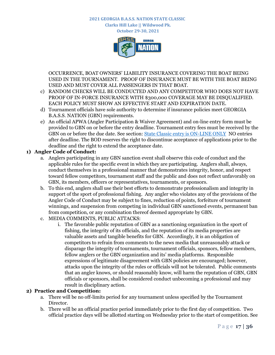**Clarks Hill Lake || Wildwood Pk. October 29-30, 2021**



OCCURRENCE, BOAT OWNERS' LIABILITY INSURANCE COVERING THE BOAT BEING USED IN THE TOURNAMENT. PROOF OF INSURANCE MUST BE WITH THE BOAT BEING USED AND MUST COVER ALL PASSENGERS IN THAT BOAT.

- c) RANDOM CHECKS WILL BE CONDUCTED AND ANY COMPETITOR WHO DOES NOT HAVE PROOF OF IN-FORCE INSURANCE WITH \$300,000 COVERAGE MAY BE DISQUALIFIED. EACH POLICY MUST SHOW AN EFFECTIVE START AND EXPIRATION DATE.
- d) Tournament officials have sole authority to determine if insurance policies meet GEORGIA B.A.S.S. NATION (GBN) requirements.
- e) An official APWA (Angler Participation & Waiver Agreement) and on-line entry form must be provided to GBN on or before the entry deadline. Tournament entry fees must be received by the GBN on or before the due date. See section: [State Classic entry is ON-LINE ONLY](#page-9-0) NO entries after deadline. The BOD reserves the right to discontinue acceptance of applications prior to the deadline and the right to extend the acceptance date.

## **1) Angler Code of Conduct:**

- a. Anglers participating in any GBN sanction event shall observe this code of conduct and the applicable rules for the specific event in which they are participating. Anglers shall, always, conduct themselves in a professional manner that demonstrates integrity, honor, and respect toward fellow competitors, tournament staff and the public and does not reflect unfavorably on GBN, its members, officers or representatives, tournaments, or sponsors.
- b. To this end, anglers shall use their best efforts to demonstrate professionalism and integrity in support of the sport of professional fishing. Any angler who violates any of the provisions of the Angler Code of Conduct may be subject to fines, reduction of points, forfeiture of tournament winnings, and suspension from competing in individual GBN sanctioned events, permanent ban from competition, or any combination thereof deemed appropriate by GBN.
- c. MEDIA COMMENTS, PUBLIC ATTACKS:
	- i. The favorable public reputation of GBN as a sanctioning organization in the sport of fishing, the integrity of its officials, and the reputation of its media properties are valuable assets and tangible benefits for GBN. Accordingly, it is an obligation of competitors to refrain from comments to the news media that unreasonably attack or disparage the integrity of tournaments, tournament officials, sponsors, fellow members, fellow anglers or the GBN organization and its' media platforms. Responsible expressions of legitimate disagreement with GBN policies are encouraged; however, attacks upon the integrity of the rules or officials will not be tolerated. Public comments that an angler knows, or should reasonably know, will harm the reputation of GBN, GBN officials or sponsors, shall be considered conduct unbecoming a professional and may result in disciplinary action.

### **2) Practice and Competition:**

- a. There will be no off-limits period for any tournament unless specified by the Tournament Director.
- b. There will be an official practice period immediately prior to the first day of competition. Two official practice days will be allotted starting on Wednesday prior to the start of competition. See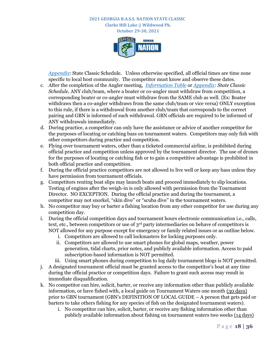**October 29-30, 2021**



*[Appendix](#page-28-0)*: [State Classic Schedule.](#page-28-0) Unless otherwise specified, all official times are time zone specific to local host community. The competitor must know and observe these dates.

- c. After the completion of the Angler meeting, *[Information Table](#page-3-0)* or *[Appendix:](#page-28-0) State Classic Schedule,* ANY club/team, where a boater or co-angler must withdraw from competition, a corresponding boater or co-angler must withdraw from the SAME club as well. {Ex: Boater withdraws then a co-angler withdraws from the same club/team or vice versa} ONLY exception to this rule, if there is a withdrawal from another club/team that corresponds to the correct pairing and GBN is informed of such withdrawal. GBN officials are required to be informed of ANY withdrawals immediately.
- d. During practice, a competitor can only have the assistance or advice of another competitor for the purposes of locating or catching bass on tournament waters. Competitors may only fish with other competitors during practice and competition.
- e. Flying over tournament waters, other than a ticketed commercial airline, is prohibited during official practice and competition unless approved by the tournament director. The use of drones for the purposes of locating or catching fish or to gain a competitive advantage is prohibited in both official practice and competition.
- f. During the official practice competitors are not allowed to live well or keep any bass unless they have permission from tournament officials.
- g. Competitors renting boat slips may launch boats and proceed immediately to slip locations. Testing of engines after the weigh-in is only allowed with permission from the Tournament Director. NO EXCEPTION. During the official practice and during the tournament, a competitor may not snorkel, "skin dive" or "scuba dive" in the tournament waters.
- h. No competitor may buy or barter a fishing location from any other competitor for use during any competition day.
- i. During the official competition days and tournament hours electronic communication i.e., calls, text, etc., between competitors or use of 3rd party intermediaries on behave of competitors is NOT allowed for any purpose except for emergency or family related issues or as outline below.
	- i. Competitors are allowed to call lockmasters for locking purposes only.
	- ii. Competitors are allowed to use smart phones for global maps, weather, power generation, tidal charts, prior notes, and publicly available information. Access to paid subscription-based information is NOT permitted.
	- iii. Using smart phones during competition to log daily tournament blogs is NOT permitted.
- j. A designated tournament official must be granted access to the competitor's boat at any time during the official practice or competition days. Failure to grant such access may result in immediate disqualification.
- k. No competitor can hire, solicit, barter, or receive any information other than publicly available information, or have fished with, a local guide on Tournament Waters one month (30 days) prior to GBN tournament (GBN's DEFINITION OF LOCAL GUIDE – A person that gets paid or barters to take others fishing for any species of fish on the designated tournament waters).
	- i. No competitor can hire, solicit, barter, or receive any fishing information other than publicly available information about fishing on tournament waters two weeks (14 days)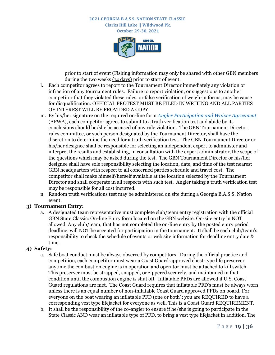**October 29-30, 2021**



prior to start of event (Fishing information may only be shared with other GBN members during the two weeks (14 days) prior to start of event.

- l. Each competitor agrees to report to the Tournament Director immediately any violation or infraction of any tournament rules. Failure to report violation, or suggestions to another competitor that they violated these rules, or false verification of weigh-in forms, may be cause for disqualification. OFFICIAL PROTEST MUST BE FILED IN WRITING AND ALL PARTIES OF INTEREST WILL BE PROVIDED A COPY.
- m. By his/her signature on the required on-line form *[Angler Participation and Waiver Agreement](http://georgiabassnation.com/forms)* (APWA), each competitor agrees to submit to a truth verification test and abide by its conclusions should he/she be accused of any rule violation. The GBN Tournament Director, rules committee, or such person designated by the Tournament Director, shall have the discretion to determine the need for a truth verification test. The GBN Tournament Director or his/her designee shall be responsible for selecting an independent expert to administer and interpret the results and establishing, in consultation with the expert administrator, the scope of the questions which may be asked during the test. The GBN Tournament Director or his/her designee shall have sole responsibility selecting the location, date, and time of the test nearest GBN headquarters with respect to all concerned parties schedule and travel cost. The competitor shall make himself/herself available at the location selected by the Tournament Director and shall cooperate in all respects with such test. Angler taking a truth verification test may be responsible for all cost incurred.
- n. Random truth verifications test may be administered on site during a Georgia B.A.S.S. Nation event.

#### **3) Tournament Entry:**

a. A designated team representative must complete club/team entry registration with the official GBN State Classic: On-line Entry form located on the GBN website. On-site entry in NOT allowed. Any club/team, that has not completed the on-line entry by the posted entry period deadline, will NOT be accepted for participation in the tournament. It shall be each club/team's responsibility to check the schedule of events or web site information for deadline entry date & time.

#### **4) Safety:**

- a. Safe boat conduct must be always observed by competitors. During the official practice and competition, each competitor must wear a Coast Guard-approved chest-type life preserver anytime the combustion engine is in operation and operator must be attached to kill switch. This preserver must be strapped, snapped, or zippered securely, and maintained in that condition until the combustion engine is shut off. Inflatable PFDs are allowed if U.S. Coast Guard regulations are met. The Coast Guard requires that inflatable PFD's must be always worn unless there is an equal number of non-inflatable Coast Guard approved PFDs on board. For everyone on the boat wearing an inflatable PFD (one or both); you are REQUIRED to have a corresponding vest type lifejacket for everyone as well. This is a Coast Guard REQUIREMENT.
- b. It shall be the responsibility of the co-angler to ensure if he/she is going to participate in the State Classic AND wear an inflatable type of PFD, to bring a vest type lifejacket in addition. The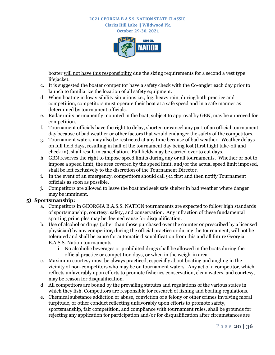**Clarks Hill Lake || Wildwood Pk. October 29-30, 2021**



boater will not have this responsibility due the sizing requirements for a second a vest type lifejacket.

- c. It is suggested the boater competitor have a safety check with the Co-angler each day prior to launch to familiarize the location of all safety equipment.
- d. When boating in low visibility situations i.e., fog, heavy rain, during both practice and competition, competitors must operate their boat at a safe speed and in a safe manner as determined by tournament officials.
- e. Radar units permanently mounted in the boat, subject to approval by GBN, may be approved for competition.
- f. Tournament officials have the right to delay, shorten or cancel any part of an official tournament day because of bad weather or other factors that would endanger the safety of the competitors.
- g. Tournament waters may also be restricted at any time because of bad weather. Weather delays on full field days, resulting in half of the tournament day being lost (first flight take-off and check in), shall result in cancellation. Full fields may be carried over to cut days.
- h. GBN reserves the right to impose speed limits during any or all tournaments. Whether or not to impose a speed limit, the area covered by the speed limit, and/or the actual speed limit imposed, shall be left exclusively to the discretion of the Tournament Director.
- i. In the event of an emergency, competitors should call 911 first and then notify Tournament officials as soon as possible.
- j. Competitors are allowed to leave the boat and seek safe shelter in bad weather where danger may be imminent.

### **5) Sportsmanship:**

- a. Competitors in GEORGIA B.A.S.S. NATION tournaments are expected to follow high standards of sportsmanship, courtesy, safety, and conservation. Any infraction of these fundamental sporting principles may be deemed cause for disqualification.
- b. Use of alcohol or drugs (other than those purchased over the counter or prescribed by a licensed physician) by any competitor, during the official practice or during the tournament, will not be tolerated and shall be cause for automatic disqualification from this and all future Georgia B.A.S.S. Nation tournaments.
	- i. No alcoholic beverages or prohibited drugs shall be allowed in the boats during the official practice or competition days, or when in the weigh-in area.
- c. Maximum courtesy must be always practiced, especially about boating and angling in the vicinity of non-competitors who may be on tournament waters. Any act of a competitor, which reflects unfavorably upon efforts to promote fisheries conservation, clean waters, and courtesy, may be reason for disqualification.
- d. All competitors are bound by the prevailing statutes and regulations of the various states in which they fish. Competitors are responsible for research of fishing and boating regulations.
- e. Chemical substance addiction or abuse, conviction of a felony or other crimes involving moral turpitude, or other conduct reflecting unfavorably upon efforts to promote safety, sportsmanship, fair competition, and compliance with tournament rules, shall be grounds for rejecting any application for participation and/or for disqualification after circumstances are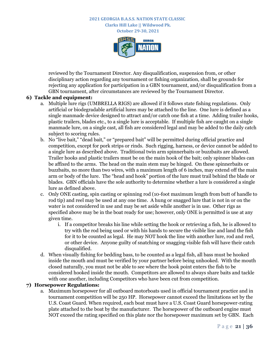**October 29-30, 2021**



reviewed by the Tournament Director. Any disqualification, suspension from, or other disciplinary action regarding any tournament or fishing organization, shall be grounds for rejecting any application for participation in a GBN tournament, and/or disqualification from a GBN tournament, after circumstances are reviewed by the Tournament Director.

#### **6) Tackle and equipment:**

- a. Multiple lure rigs (UMBRELLA RIGS) are allowed if it follows state fishing regulations. Only artificial or biodegradable artificial lures may be attached to the line. One lure is defined as a single manmade device designed to attract and/or catch one fish at a time. Adding trailer hooks, plastic trailers, blades etc., to a single lure is acceptable. If multiple fish are caught on a single manmade lure, on a single cast, all fish are considered legal and may be added to the daily catch subject to scoring rules.
- b. No "live bait," "dead bait," or "prepared bait" will be permitted during official practice and competition, except for pork strips or rinds. Such rigging, harness, or device cannot be added to a single lure as described above. Traditional twin arm spinnerbaits or buzzbaits are allowed. Trailer hooks and plastic trailers must be on the main hook of the bait; only spinner blades can be affixed to the arms. The head on the main stem may be hinged. On these spinnerbaits or buzzbaits, no more than two wires, with a maximum length of 6 inches, may extend off the main arm or body of the lure. The "head and hook" portion of the lure must trail behind the blade or blades. GBN officials have the sole authority to determine whether a lure is considered a single lure as defined above.
- c. Only ONE casting, spin casting or spinning rod (10-foot maximum length from butt of handle to rod tip) and reel may be used at any one time. A hung or snagged lure that is not in or on the water is not considered in use and may be set aside while another is in use. Other rigs as specified above may be in the boat ready for use; however, only ONE is permitted is use at any given time.
	- i. If a competitor breaks his line while setting the hook or retrieving a fish, he is allowed to try with the rod being used or with his hands to secure the visible line and land the fish for it to be counted as legal. He may NOT hook the line with another lure, rod and reel, or other device. Anyone guilty of snatching or snagging visible fish will have their catch disqualified.
- d. When visually fishing for bedding bass, to be counted as a legal fish, all bass must be hooked inside the mouth and must be verified by your partner before being unhooked. With the mouth closed naturally, you must not be able to see where the hook point enters the fish to be considered hooked inside the mouth. Competitors are allowed to always share baits and tackle with one another, including Competitors who have been cut from competition.

#### **7) Horsepower Regulations:**

a. Maximum horsepower for all outboard motorboats used in official tournament practice and in tournament competition will be 250 HP. Horsepower cannot exceed the limitations set by the U.S. Coast Guard. When required, each boat must have a U.S. Coast Guard horsepower-rating plate attached to the boat by the manufacturer. The horsepower of the outboard engine must NOT exceed the rating specified on this plate nor the horsepower maximum set by GBN. Each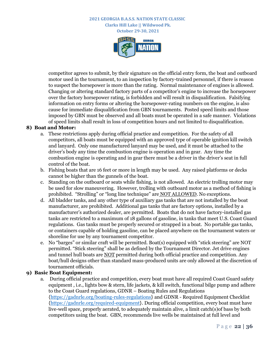**October 29-30, 2021**



competitor agrees to submit, by their signature on the official entry form, the boat and outboard motor used in the tournament, to an inspection by factory-trained personnel, if there is reason to suspect the horsepower is more than the rating. Normal maintenance of engines is allowed. Changing or altering standard factory parts of a competitor's engine to increase the horsepower over the factory horsepower rating, is forbidden and will result in disqualification. Falsifying information on entry forms or altering the horsepower-rating numbers on the engine, is also cause for immediate disqualification from GBN tournaments. Posted speed limits and those imposed by GBN must be observed and all boats must be operated in a safe manner. Violations of speed limits shall result in loss of competition hours and not limited to disqualification.

#### **8) Boat and Motor:**

- a. These restrictions apply during official practice and competition. For the safety of all competitors, all boats must be equipped with an approved type of operable ignition kill switch and lanyard. Only one manufactured lanyard may be used, and it must be attached to the driver's body any time the combustion engine is operation and in gear. Any time the combustion engine is operating and in gear there must be a driver in the driver's seat in full control of the boat.
- b. Fishing boats that are 16 feet or more in length may be used. Any raised platforms or decks cannot be higher than the gunnels of the boat.
- c. Standing on the outboard or seats while fishing, is not allowed. An electric trolling motor may be used for slow maneuvering. However, trolling with outboard motor as a method of fishing is prohibited. "Strolling" or "long line technique" are NOT ALLOWED. No exceptions.
- d. All bladder tanks, and any other type of auxiliary gas tanks that are not installed by the boat manufacturer, are prohibited. Additional gas tanks that are factory options, installed by a manufacturer's authorized dealer, are permitted. Boats that do not have factory-installed gas tanks are restricted to a maximum of 18 gallons of gasoline, in tanks that meet U.S. Coast Guard regulations. Gas tanks must be properly secured or strapped in a boat. No portable gas tanks, or containers capable of holding gasoline, can be placed anywhere on the tournament waters or shoreline for use by any tournament competitor.
- e. No "barges" or similar craft will be permitted. Boat(s) equipped with "stick steering" are NOT permitted. "Stick steering" shall be as defined by the Tournament Director. Jet drive engines and tunnel hull boats are NOT permitted during both official practice and competition. Any boat/hull designs other than standard mass-produced units are only allowed at the discretion of tournament officials.

#### **9) Basic Boat Equipment:**

a. During official practice and competition, every boat must have all required Coast Guard safety equipment , i.e., lights bow & stern, life jackets, & kill switch, functional bilge pump and adhere to the Coast Guard regulations, GDNR – Boating Rules and Regulations [{https://gadnrle.org/boating-rules-regulations}](https://gadnrle.org/boating-rules-regulations) and GDNR - Required Equipment Checklist [{https://gadnrle.org/required-equipment}](https://gadnrle.org/required-equipment). During official competition, every boat must have live-well space, properly aerated, to adequately maintain alive, a limit catch(s)of bass by both competitors using the boat. GBN, recommends live wells be maintained at full level and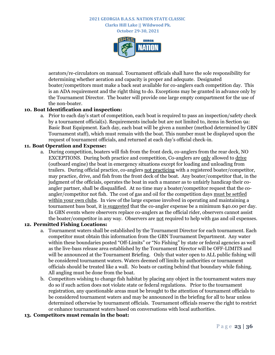**October 29-30, 2021**



aerators/re-circulators on manual. Tournament officials shall have the sole responsibility for determining whether aeration and capacity is proper and adequate. Designated boater/competitors must make a back seat available for co-anglers each competition day. This is an ADA requirement and the right thing to do. Exceptions may be granted in advance only by the Tournament Director. The boater will provide one large empty compartment for the use of the non-boater.

#### **10. Boat Identification and inspection:**

a. Prior to each day's start of competition, each boat is required to pass an inspection/safety check by a tournament official(s). Requirements include but are not limited to, items in Section 9a: Basic Boat Equipment. Each day, each boat will be given a number (method determined by GBN Tournament staff), which must remain with the boat. This number must be displayed upon the request of tournament officials, and returned at each day's official check-in.

#### **11. Boat Operation and Expense:**

a. During competition, boaters will fish from the front deck, co-anglers from the rear deck, NO EXCEPTIONS. During both practice and competition, Co-anglers are only allowed to drive (outboard engine) the boat in emergency situations except for loading and unloading from trailers. During official practice, co-anglers not practicing with a registered boater/competitor, may practice, drive, and fish from the front deck of the boat. Any boater/competitor that, in the judgment of the officials, operates the boat in such a manner as to unfairly handicap their coangler partner, shall be disqualified. At no time may a boater/competitor request that the coangler/competitor not fish. The cost of gas and oil for the competition days must be settled within your own clubs. In view of the large expense involved in operating and maintaining a tournament bass boat, it is suggested that the co-angler expense be a minimum \$40.00 per day. In GBN events where observers replace co-anglers as the official rider, observers cannot assist the boater/competitor in any way. Observers are not required to help with gas and oil expenses.

#### **12. Permitted Fishing Locations:**

- a. Tournament waters shall be established by the Tournament Director for each tournament. Each competitor must obtain this information from the GBN Tournament Department. Any water within these boundaries posted "Off-Limits" or "No Fishing" by state or federal agencies as well as the live-bass release area established by the Tournament Director will be OFF-LIMITS and will be announced at the Tournament Briefing. Only that water open to ALL public fishing will be considered tournament waters. Waters deemed off limits by authorities or tournament officials should be treated like a wall. No boats or casting behind that boundary while fishing. All angling must be done from the boat.
- b. Competitors wishing to change fish habitat by placing any object in the tournament waters may do so if such action does not violate state or federal regulations. Prior to the tournament registration, any questionable areas must be brought to the attention of tournament officials to be considered tournament waters and may be announced in the briefing for all to hear unless determined otherwise by tournament officials. Tournament officials reserve the right to restrict or enhance tournament waters based on conversations with local authorities.

#### **13. Competitors must remain in the boat:**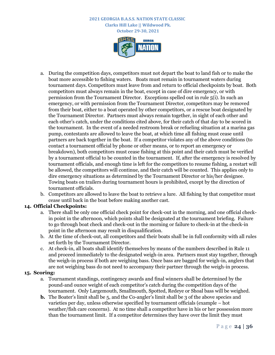

- a. During the competition days, competitors must not depart the boat to land fish or to make the boat more accessible to fishing waters. Boats must remain in tournament waters during tournament days. Competitors must leave from and return to official checkpoints by boat. Both competitors must always remain in the boat, except in case of dire emergency, or with permission from the Tournament Director. Exceptions spelled out in rule 5(i). In such an emergency, or with permission from the Tournament Director, competitors may be removed from their boat, either to a boat operated by other competitors, or a rescue boat designated by the Tournament Director. Partners must always remain together, in sight of each other and each other's catch, under the conditions cited above, for their catch of that day to be scored in the tournament. In the event of a needed restroom break or refueling situation at a marina gas pump, contestants are allowed to leave the boat, at which time all fishing must cease until partners are back together in the boat. If a competitor violates any of the above conditions (to contact a tournament official by phone or other means, or to report an emergency or breakdown), both competitors must cease fishing at this point and their catch must be verified by a tournament official to be counted in the tournament. If, after the emergency is resolved by tournament officials, and enough time is left for the competitors to resume fishing, a restart will be allowed, the competitors will continue, and their catch will be counted. This applies only to dire emergency situations as determined by the Tournament Director or his/her designee. Towing boats on trailers during tournament hours is prohibited, except by the direction of tournament officials.
- b. Competitors are allowed to leave the boat to retrieve a lure. All fishing by that competitor must cease until back in the boat before making another cast.

#### **14. Official Checkpoints:**

- a. There shall be only one official check point for check-out in the morning, and one official checkin point in the afternoon, which points shall be designated at the tournament briefing. Failure to go through boat check and check-out in the morning or failure to check-in at the check-in point in the afternoon may result in disqualification.
- b. At the time of check-out, all competitors and their boats shall be in full conformity with all rules set forth by the Tournament Director.
- c. At check-in, all boats shall identify themselves by means of the numbers described in Rule 11 and proceed immediately to the designated weigh-in area. Partners must stay together, through the weigh-in process if both are weighing bass. Once bass are bagged for weigh-in, anglers that are not weighing bass do not need to accompany their partner through the weigh-in process.

#### **15. Scoring:**

- a. Tournament standings, contingency awards and final winners shall be determined by the pound-and ounce weight of each competitor's catch during the competition days of the tournament. Only Largemouth, Smallmouth, Spotted, Redeye or Shoal bass will be weighed.
- **b.** The Boater's limit shall be 5, and the Co-angler's limit shall be 3 of the above species and varieties per day, unless otherwise specified by tournament officials (example – hot weather/fish care concerns). At no time shall a competitor have in his or her possession more than the tournament limit. If a competitor determines they have over the limit they must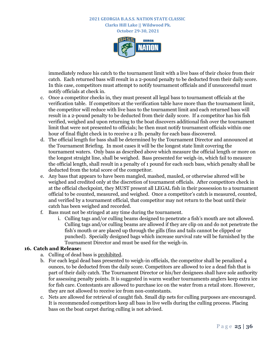**October 29-30, 2021**



immediately reduce his catch to the tournament limit with a live bass of their choice from their catch. Each returned bass will result in a 2-pound penalty to be deducted from their daily score. In this case, competitors must attempt to notify tournament officials and if unsuccessful must notify officials at check in.

- c. Once a competitor checks in, they must present all legal bass to tournament officials at the verification table. If competitors at the verification table have more than the tournament limit, the competitor will reduce with live bass to the tournament limit and each returned bass will result in a 2-pound penalty to be deducted from their daily score. If a competitor has his fish verified, weighed and upon returning to the boat discovers additional fish over the tournament limit that were not presented to officials; he then must notify tournament officials within one hour of final flight check in to receive a 2 lb. penalty for each bass discovered.
- d. The official length for bass shall be determined by the Tournament Director and announced at the Tournament Briefing. In most cases it will be the longest state limit covering the tournament waters. Only bass as described above which measure the official length or more on the longest straight line, shall be weighed. Bass presented for weigh-in, which fail to measure the official length, shall result in a penalty of 1 pound for each such bass, which penalty shall be deducted from the total score of the competitor.
- e. Any bass that appears to have been mangled, mashed, mauled, or otherwise altered will be weighed and credited only at the discretion of tournament officials. After competitors check in at the official checkpoint, they MUST present all LEGAL fish in their possession to a tournament official to be counted, measured, and weighed. Once a competitor's catch is measured, counted, and verified by a tournament official, that competitor may not return to the boat until their catch has been weighed and recorded.
- f. Bass must not be stringed at any time during the tournament.
	- i. Culling tags and/or culling beams designed to penetrate a fish's mouth are not allowed. Culling tags and/or culling beams are allowed if they are clip on and do not penetrate the fish's mouth or are placed up through the gills (fins and tails cannot be clipped or punched). Specially designed bags which increase survival rate will be furnished by the Tournament Director and must be used for the weigh-in.

#### **16. Catch and Release:**

- a. Culling of dead bass is prohibited.
- b. For each legal dead bass presented to weigh-in officials, the competitor shall be penalized 4 ounces, to be deducted from the daily score. Competitors are allowed to ice a dead fish that is part of their daily catch. The Tournament Director or his/her designees shall have sole authority for assessing penalty points. It is suggested in warm weather tournaments anglers keep extra ice for fish care. Contestants are allowed to purchase ice on the water from a retail store. However, they are not allowed to receive ice from non-contestants.
- c. Nets are allowed for retrieval of caught fish. Small dip nets for culling purposes are encouraged. It is recommended competitors keep all bass in live wells during the culling process. Placing bass on the boat carpet during culling is not advised.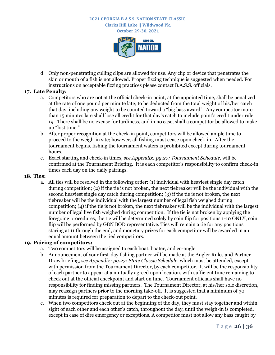**October 29-30, 2021**



d. Only non-penetrating culling clips are allowed for use. Any clip or device that penetrates the skin or mouth of a fish is not allowed. Proper fizzing technique is suggested when needed. For instructions on acceptable fizzing practices please contact B.A.S.S. officials.

#### **17. Late Penalty:**

- a. Competitors who are not at the official check-in point, at the appointed time, shall be penalized at the rate of one pound per minute late; to be deducted from the total weight of his/her catch that day, including any weight to be counted toward a "big bass award". Any competitor more than 15 minutes late shall lose all credit for that day's catch to include point's credit under rule 19. There shall be no excuse for tardiness, and in no case, shall a competitor be allowed to make up "lost time."
- b. After proper recognition at the check-in point, competitors will be allowed ample time to proceed to the weigh-in site; however, all fishing must cease upon check-in. After the tournament begins, fishing the tournament waters is prohibited except during tournament hours.
- c. Exact starting and check-in times, *see Appendix: pg.27: Tournament Schedule*, will be confirmed at the Tournament Briefing. It is each competitor's responsibility to confirm check-in times each day on the daily pairings.

#### **18. Ties:**

a. All ties will be resolved in the following order: (1) individual with heaviest single day catch during competition; (2) if the tie is not broken, the next tiebreaker will be the individual with the second heaviest single day catch during competition; (3) if the tie is not broken, the next tiebreaker will be the individual with the largest number of legal fish weighed during competition; (4) if the tie is not broken, the next tiebreaker will be the individual with the largest number of legal live fish weighed during competition. If the tie is not broken by applying the foregoing procedures, the tie will be determined solely by coin flip for positions 1-10 ONLY, coin flip will be performed by GBN BOD representative. Ties will remain a tie for any positions staring at 11 through the end, and monetary prizes for each competitor will be awarded in an equal amount between the tied competitors.

#### **19. Pairing of competitors:**

- a. Two competitors will be assigned to each boat, boater, and co-angler.
- b. Announcement of your first-day fishing partner will be made at the Angler Rules and Partner Draw briefing, *see Appendix: pg.27: State Classic Schedule*, which must be attended, except with permission from the Tournament Director, by each competitor. It will be the responsibility of each partner to appear at a mutually agreed upon location, with sufficient time remaining to check out at the official checkpoint and start on time. Tournament officials shall have no responsibility for finding missing partners. The Tournament Director, at his/her sole discretion, may reassign partners prior to the morning take-off. It is suggested that a minimum of 30 minutes is required for preparation to depart to the check-out point.
- c. When two competitors check out at the beginning of the day, they must stay together and within sight of each other and each other's catch, throughout the day, until the weigh-in is completed, except in case of dire emergency or exceptions. A competitor must not allow any bass caught by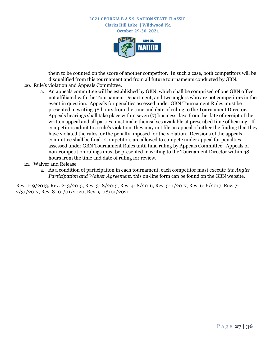

them to be counted on the score of another competitor. In such a case, both competitors will be disqualified from this tournament and from all future tournaments conducted by GBN.

- 20. Rule's violation and Appeals Committee.
	- a. An appeals committee will be established by GBN, which shall be comprised of one GBN officer not affiliated with the Tournament Department, and two anglers who are not competitors in the event in question. Appeals for penalties assessed under GBN Tournament Rules must be presented in writing 48 hours from the time and date of ruling to the Tournament Director. Appeals hearings shall take place within seven (7) business days from the date of receipt of the written appeal and all parties must make themselves available at prescribed time of hearing. If competitors admit to a rule's violation, they may not file an appeal of either the finding that they have violated the rules, or the penalty imposed for the violation. Decisions of the appeals committee shall be final. Competitors are allowed to compete under appeal for penalties assessed under GBN Tournament Rules until final ruling by Appeals Committee. Appeals of non-competition rulings must be presented in writing to the Tournament Director within 48 hours from the time and date of ruling for review.
- 21. Waiver and Release
	- a. As a condition of participation in each tournament, each competitor must execute *the Angler Participation and Waiver Agreement,* this on-line form can be found on the GBN website.

Rev. 1- 9/2013, Rev. 2- 3/2015, Rev. 3- 8/2015, Rev. 4- 8/2016, Rev. 5- 1/2017, Rev. 6- 6/2017, Rev. 7- 7/31/2017, Rev. 8- 01/01/2020, Rev. 9-08/01/2021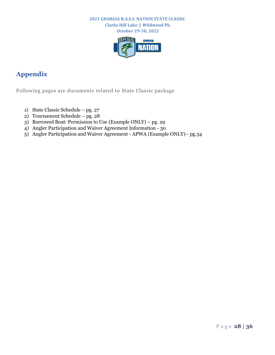**October 29-30, 2021**



# <span id="page-28-0"></span>**Appendix**

Following pages are documents related to State Classic package

- 1) State Classic Schedule pg. 27
- 2) Tournament Schedule pg. 28
- 3) Borrowed Boat: Permission to Use (Example ONLY) pg. 29
- 4) Angler Participation and Waiver Agreement Information 30
- 5) Angler Participation and Waiver Agreement APWA (Example ONLY)– pg.34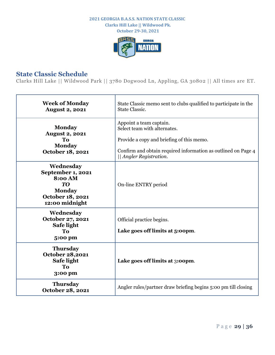**October 29-30, 2021**



# <span id="page-29-0"></span>**State Classic Schedule**

Clarks Hill Lake || Wildwood Park || 3780 Dogwood Ln, Appling, GA 30802 || All times are ET.

| <b>Week of Monday</b><br><b>August 2, 2021</b>                                                                | State Classic memo sent to clubs qualified to participate in the<br>State Classic.                                                                                                               |
|---------------------------------------------------------------------------------------------------------------|--------------------------------------------------------------------------------------------------------------------------------------------------------------------------------------------------|
| <b>Monday</b><br><b>August 2, 2021</b><br>To<br><b>Monday</b><br>October 18, 2021                             | Appoint a team captain.<br>Select team with alternates.<br>Provide a copy and briefing of this memo.<br>Confirm and obtain required information as outlined on Page 4<br>   Angler Registration. |
| Wednesday<br>September 1, 2021<br><b>8:00 AM</b><br>TO<br><b>Monday</b><br>October 18, 2021<br>12:00 midnight | On-line ENTRY period                                                                                                                                                                             |
| Wednesday<br>October 27, 2021<br>Safe light<br>To<br>5:00 pm                                                  | Official practice begins.<br>Lake goes off limits at 5:00pm.                                                                                                                                     |
| <b>Thursday</b><br><b>October 28,2021</b><br>Safe light<br>To<br>3:00 pm                                      | Lake goes off limits at 3:00pm.                                                                                                                                                                  |
| <b>Thursday</b><br>October 28, 2021                                                                           | Angler rules/partner draw briefing begins 5:00 pm till closing                                                                                                                                   |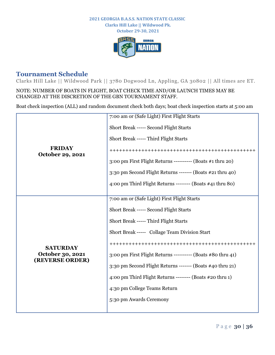**October 29-30, 2021**



# <span id="page-30-0"></span>**Tournament Schedule**

Clarks Hill Lake || Wildwood Park || 3780 Dogwood Ln, Appling, GA 30802 || All times are ET.

NOTE: NUMBER OF BOATS IN FLIGHT, BOAT CHECK TIME AND/OR LAUNCH TIMES MAY BE CHANGED AT THE DISCRETION OF THE GBN TOURNAMENT STAFF.

Boat check inspection (ALL) and random document check both days; boat check inspection starts at 5:00 am

|                                                        | 7:00 am or (Safe Light) First Flight Starts                   |
|--------------------------------------------------------|---------------------------------------------------------------|
| <b>FRIDAY</b><br>October 29, 2021                      | Short Break ----- Second Flight Starts                        |
|                                                        | Short Break ----- Third Flight Starts                         |
|                                                        |                                                               |
|                                                        | 3:00 pm First Flight Returns ---------- (Boats #1 thru 20)    |
|                                                        | 3:30 pm Second Flight Returns ------- (Boats #21 thru 40)     |
|                                                        | 4:00 pm Third Flight Returns -------- (Boats $\#$ 41 thru 80) |
|                                                        |                                                               |
| <b>SATURDAY</b><br>October 30, 2021<br>(REVERSE ORDER) | 7:00 am or (Safe Light) First Flight Starts                   |
|                                                        | Short Break ----- Second Flight Starts                        |
|                                                        | Short Break ----- Third Flight Starts                         |
|                                                        | Short Break ----- Collage Team Division Start                 |
|                                                        |                                                               |
|                                                        | 3:00 pm First Flight Returns ---------- (Boats #80 thru 41)   |
|                                                        | 3:30 pm Second Flight Returns ------- (Boats #40 thru 21)     |
|                                                        | 4:00 pm Third Flight Returns -------- (Boats #20 thru 1)      |
|                                                        | 4:30 pm College Teams Return                                  |
|                                                        | 5:30 pm Awards Ceremony                                       |
|                                                        |                                                               |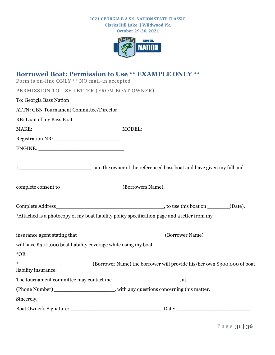**Clarks Hill Lake || Wildwood Pk. October 29-30, 2021**



<span id="page-31-0"></span>

| <b>Borrowed Boat: Permission to Use ** EXAMPLE ONLY **</b><br>Form is on-line ONLY ** NO mail-in accepted |                                                                         |
|-----------------------------------------------------------------------------------------------------------|-------------------------------------------------------------------------|
| PERMISSION TO USE LETTER (FROM BOAT OWNER)                                                                |                                                                         |
| To: Georgia Bass Nation                                                                                   |                                                                         |
| <b>ATTN: GBN Tournament Committee/Director</b>                                                            |                                                                         |
| RE: Loan of my Bass Boat                                                                                  |                                                                         |
|                                                                                                           |                                                                         |
|                                                                                                           |                                                                         |
|                                                                                                           |                                                                         |
|                                                                                                           |                                                                         |
| complete consent to __________________________(Borrowers Name),                                           |                                                                         |
|                                                                                                           |                                                                         |
| *Attached is a photocopy of my boat liability policy specification page and a letter from my              |                                                                         |
|                                                                                                           |                                                                         |
| will have \$300,000 boat liability coverage while using my boat.                                          |                                                                         |
| *OR                                                                                                       |                                                                         |
| $*$                                                                                                       | (Borrower Name) the borrower will provide his/her own \$300,000 of boat |
| liability insurance.                                                                                      |                                                                         |
| The tournament committee may contact me _________________________________, at                             |                                                                         |
| (Phone Number) ________________________, with any questions concerning this matter.                       |                                                                         |
| Sincerely,                                                                                                |                                                                         |
|                                                                                                           |                                                                         |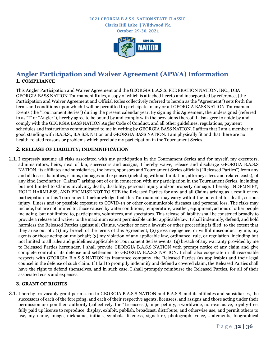**October 29-30, 2021**



# <span id="page-32-0"></span>**Angler Participation and Waiver Agreement (APWA) Information 1. COMPLIANCE**

This Angler Participation and Waiver Agreement and the GEORGIA B.A.S.S. FEDERATION NATION, INC., DBA GEORGIA BASS NATION Tournament Rules, a copy of which is attached hereto and incorporated by reference, (the Participation and Waiver Agreement and Official Rules collectively referred to herein as the "Agreement") sets forth the terms and conditions upon which I will be permitted to participate in any or all GEORGIA BASS NATION Tournament Events (the "Tournament Series") during the present calendar year. By signing this Agreement, the undersigned (referred to as "I" or "Angler"), hereby agree to be bound by and comply with the provisions thereof. I also agree to abide by and comply with the GEORGIA BASS NATION Angler Code of Conduct, and all other guidelines, regulations, payment schedules and instructions communicated to me in writing by GEORGIA BASS NATION. I affirm that I am a member in good standing with B.A.S.S., B.A.S.S. Nation and GEORGIA BASS NATION. I am physically fit and that there are no health-related reasons or problems which preclude my participation in the Tournament Series.

#### **2. RELEASE OF LIABILITY; INDEMNIFICATION**

2.1. I expressly assume all risks associated with my participation in the Tournament Series and for myself, my executors, administrators, heirs, next of kin, successors and assigns, I hereby waive, release and discharge GEORGIA B.A.S.S NATION, its affiliates and subsidiaries, the hosts, sponsors and Tournament Series officials ("Released Parties") from any and all losses, liabilities, claims, damages and expenses (including without limitation, attorney's fees and related costs), of any kind (hereinafter "Claims") arising out of or in connection with my participation in the Tournament Series, including but not limited to Claims involving, death, disability, personal injury and/or property damage. I hereby INDEMNIFY, HOLD HARMLESS, AND PROMISE NOT TO SUE the Released Parties for any and all Claims arising as a result of my participation in this Tournament. I acknowledge that this Tournament may carry with it the potential for death, serious injury, illness and/or possible exposure to COVID-19 or other communicable diseases and personal loss. The risks may include, but are not limited to, those caused by water conditions, temperature, weather, equipment, actions of other people including, but not limited to, participants, volunteers, and spectators. This release of liability shall be construed broadly to provide a release and waiver to the maximum extent permissible under applicable law. I shall indemnify, defend, and hold harmless the Released Parties against all Claims, whether or not a lawsuit or other proceeding is filed, to the extent that they arise out of : (1) my breach of the terms of this Agreement, (2) gross negligence, or willful misconduct by me, my agents or those acting on my behalf; (3) my violation of any applicable law, ordinance, rule, or regulation, including but not limited to all rules and guidelines applicable to Tournament Series events; (4) breach of any warranty provided by me to Released Parties hereunder. I shall provide GEORGIA B.A.S.S NATION with prompt notice of any claim and give complete control of its defense and settlement to GEORGIA B.A.S.S NATION. I shall also cooperate in all reasonable respects with GEORGIA B.A.S.S NATION its insurance company, the Released Parties (as applicable) and their legal counsel in the defense of such claim. If I fail to promptly indemnify and defend a covered claim, the Released Parties shall have the right to defend themselves, and in such case, I shall promptly reimburse the Released Parties, for all of their associated costs and expenses.

#### **3. GRANT OF RIGHTS**

3.1. I hereby irrevocably grant permission to GEORGIA B.A.S.S NATION and B.A.S.S. and its affiliates and subsidiaries, the successors of each of the foregoing, and each of their respective agents, licensees, and assigns and those acting under their permission or upon their authority (collectively, the "Licensees"), in perpetuity, a worldwide, non-exclusive, royalty-free, fully paid up license to reproduce, display, exhibit, publish, broadcast, distribute, and otherwise use, and permit others to use, my name, image, nickname, initials, symbols, likeness, signature, photograph, voice, statements, biographical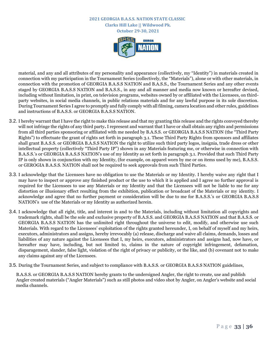**October 29-30, 2021**



material, and any and all attributes of my personality and appearance (collectively, my "Identity") in materials created in connection with my participation in the Tournament Series (collectively, the "Materials"), alone or with other materials, in connection with the promotion of GEORGIA B.A.S.S NATION and B.A.S.S., the Tournament Series and any other events staged by GEORGIA B.A.S.S NATION and B.A.S.S., in any and all manner and media now known or hereafter devised, including without limitation, in print, on television programs, websites owned by or affiliated with the Licensees, on thirdparty websites, in social media channels, in public relations materials and for any lawful purpose in its sole discretion. During Tournament Series I agree to promptly and fully comply with all filming, camera location and other rules, guidelines and instructions of B.A.S.S. or GEORGIA B.A.S.S NATION.

- 3.2. I hereby warrant that I have the right to make this release and that my granting this release and the rights conveyed thereby will not infringe the rights of any third party**.** I represent and warrant that I have or shall obtain any rights and permissions from all third parties sponsoring or affiliated with me needed by B.A.S.S. or GEORGIA B.A.S.S NATION (the "Third Party Rights") to effectuate the grant of rights set forth in paragraph 3.1. These Third Party Rights from sponsors and affiliates shall grant B.A.S.S. or GEORGIA B.A.S.S NATION the right to utilize such third party logos, insignia, trade dress or other intellectual property (collectively "Third Party IP") shown in any Materials featuring me, or otherwise in connection with B.A.S.S.'s or GEORGIA B.A.S.S NATION's use of my Identity as set forth in paragraph 3.1. Provided that such Third Party IP is only shown in conjunction with my Identity, (for example, on apparel worn by me or on items used by me), B.A.S.S. or GEROGIA B.A.S.S. NATION shall not be required to seek approvals from such Third Parties.
- 3.3. I acknowledge that the Licensees have no obligation to use the Materials or my Identity. I hereby waive any right that I may have to inspect or approve any finished product or the use to which it is applied and I agree no further approval is required for the Licensees to use any Materials or my Identity and that the Licensees will not be liable to me for any distortion or illusionary effect resulting from the exhibition, publication or broadcast of the Materials or my identity. I acknowledge and agree that no further payment or consideration will be due to me for B.A.S.S.'s or GEORGIA B.A.S.S NATION's use of the Materials or my Identity as authorized herein.
- 3.4. I acknowledge that all right, title, and interest in and to the Materials, including without limitation all copyrights and trademark rights, shall be the sole and exclusive property of B.A.S.S. and GEORGIA B.A.S.S NATION and that B.A.S.S. or GEORGIA B.A.S.S NATION has the unlimited right throughout the universe to edit, modify, and otherwise use such Materials. With regard to the Licensees' exploitation of the rights granted hereunder, I, on behalf of myself and my heirs, executors, administrators and assigns, hereby irrevocably (a) release, discharge and waive all claims, demands, losses and liabilities of any nature against the Licensees that I, my heirs, executors, administrators and assigns had, now have, or hereafter may have, including, but not limited to, claims in the nature of copyright infringement, defamation, disparagement, slander, false light, violation of the right of privacy or publicity, or the like, and (b) covenant not to make any claims against any of the Licensees.
- 3.5. During the Tournament Series, and subject to compliance with B.A.S.S. or GEORGIA B.A.S.S NATION guidelines,

B.A.S.S. or GEORGIA B.A.S.S NATION hereby grants to the undersigned Angler, the right to create, use and publish Angler created materials ("Angler Materials") such as still photos and video shot by Angler, on Angler's website and social media channels.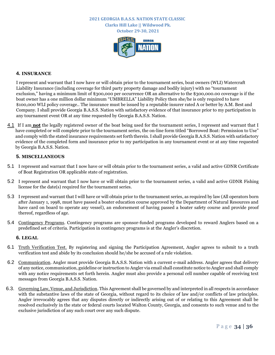**October 29-30, 2021**



#### **4. INSURANCE**

I represent and warrant that I now have or will obtain prior to the tournament series, boat owners (WLI) Watercraft Liability Insurance (including coverage for third party property damage and bodily injury) with no "tournament exclusion," having a minimum limit of \$300,000 per occurrence OR an alternative to the \$300,000.00 coverage is if the boat owner has a one million dollar minimum "UMBRELLA" Liability Policy then she/he is only required to have \$100,000 WLI policy coverage.. The insurance must be issued by a reputable insurer rated A or better by A.M. Best and Company. I shall provide Georgia B.A.S.S. Nation with satisfactory evidence of that insurance prior to my participation in any tournament event OR at any time requested by Georgia B.A.S.S. Nation.

4.1 If I am **not** the legally registered owner of the boat being used for the tournament series, I represent and warrant that I have completed or will complete prior to the tournament series, the on-line form titled "Borrowed Boat: Permission to Use" and comply with the stated insurance requirements set forth therein.I shall provide Georgia B.A.S.S. Nation with satisfactory evidence of the completed form and insurance prior to my participation in any tournament event or at any time requested by Georgia B.A.S.S. Nation.

#### **5. MISCELLANEOUS**

- 5.1 I represent and warrant that I now have or will obtain prior to the tournament series, a valid and active GDNR Certificate of Boat Registration OR applicable state of registration.
- 5.2 I represent and warrant that I now have or will obtain prior to the tournament series, a valid and active GDNR Fishing license for the date(s) required for the tournament series.
- 5.3 I represent and warrant that I will have or will obtain prior to the tournament series, as required by law (All operators born after January 1, 1998, must have passed a boater education course approved by the Department of Natural Resources and have card on board to operate any vessel), an endorsement of having passed a boater safety course and provide proof thereof, regardless of age.
- 5.4 Contingency Programs. Contingency programs are sponsor-funded programs developed to reward Anglers based on a predefined set of criteria. Participation in contingency programs is at the Angler's discretion.

#### **6. LEGAL**

- 6.1 Truth Verification Test. By registering and signing the Participation Agreement, Angler agrees to submit to a truth verification test and abide by its conclusion should he/she be accused of a rule violation.
- 6.2 Communication. Angler must provide Georgia B.A.S.S. Nation with a current e-mail address. Angler agrees that delivery of any notice, communication, guideline or instruction to Angler via email shall constitute notice to Angler and shall comply with any notice requirements set forth herein. Angler must also provide a personal cell number capable of receiving text messages from Georgia B.A.S.S. Nation.
- 6.3. Governing Law, Venue, and Jurisdiction. This Agreement shall be governed by and interpreted in all respects in accordance with the substantive laws of the state of Georgia, without regard to its choice of law and/or conflicts of law principles. Angler irrevocably agrees that any disputes directly or indirectly arising out of or relating to this Agreement shall be resolved exclusively in the state or federal courts located Walton County, Georgia, and consents to such venue and to the exclusive jurisdiction of any such court over any such dispute.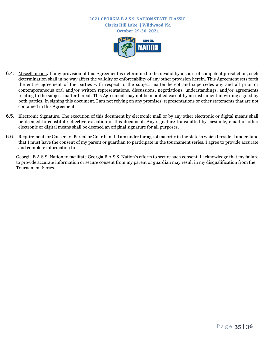

- 6.4. Miscellaneous**.** If any provision of this Agreement is determined to be invalid by a court of competent jurisdiction, such determination shall in no way affect the validity or enforceability of any other provision herein. This Agreement sets forth the entire agreement of the parties with respect to the subject matter hereof and supersedes any and all prior or contemporaneous oral and/or written representations, discussions, negotiations, understandings, and/or agreements relating to the subject matter hereof. This Agreement may not be modified except by an instrument in writing signed by both parties. In signing this document, I am not relying on any promises, representations or other statements that are not contained in this Agreement.
- 6.5. Electronic Signature. The execution of this document by electronic mail or by any other electronic or digital means shall be deemed to constitute effective execution of this document. Any signature transmitted by facsimile, email or other electronic or digital means shall be deemed an original signature for all purposes.
- 6.6. Requirement for Consent of Parent or Guardian. If I am under the age of majority in the state in which I reside, I understand that I must have the consent of my parent or guardian to participate in the tournament series. I agree to provide accurate and complete information to

Georgia B.A.S.S. Nation to facilitate Georgia B.A.S.S. Nation's efforts to secure such consent. I acknowledge that my failure to provide accurate information or secure consent from my parent or guardian may result in my disqualification from the Tournament Series.